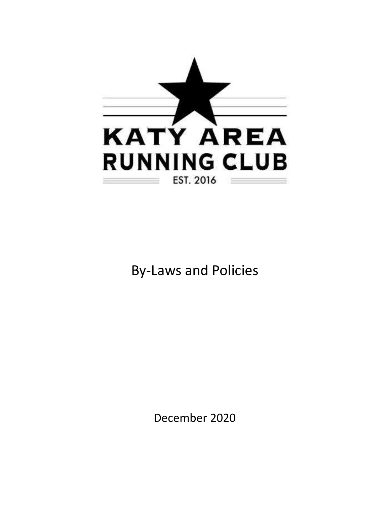

# By-Laws and Policies

December 2020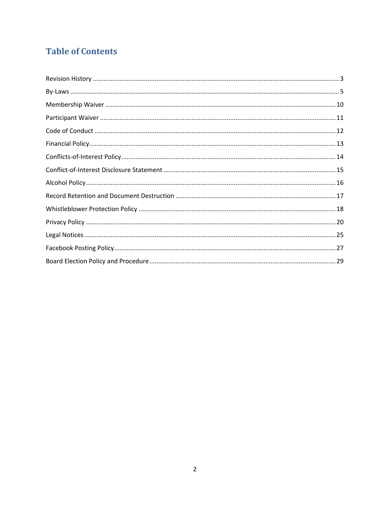## **Table of Contents**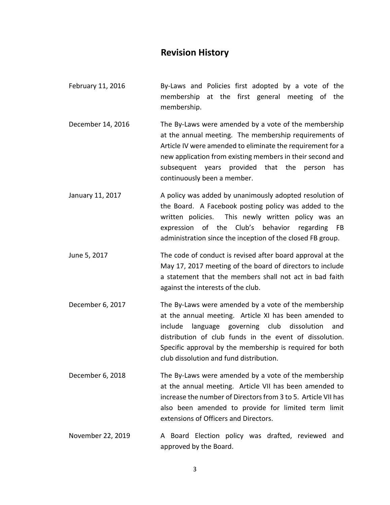### **Revision History**

- <span id="page-2-0"></span>February 11, 2016 By-Laws and Policies first adopted by a vote of the membership at the first general meeting of the membership.
- December 14, 2016 The By-Laws were amended by a vote of the membership at the annual meeting. The membership requirements of Article IV were amended to eliminate the requirement for a new application from existing members in their second and subsequent years provided that the person has continuously been a member.
- January 11, 2017 A policy was added by unanimously adopted resolution of the Board. A Facebook posting policy was added to the written policies. This newly written policy was an expression of the Club's behavior regarding FB administration since the inception of the closed FB group.
- June 5, 2017 The code of conduct is revised after board approval at the May 17, 2017 meeting of the board of directors to include a statement that the members shall not act in bad faith against the interests of the club.
- December 6, 2017 The By-Laws were amended by a vote of the membership at the annual meeting. Article XI has been amended to include language governing club dissolution and distribution of club funds in the event of dissolution. Specific approval by the membership is required for both club dissolution and fund distribution.
- December 6, 2018 The By-Laws were amended by a vote of the membership at the annual meeting. Article VII has been amended to increase the number of Directors from 3 to 5. Article VII has also been amended to provide for limited term limit extensions of Officers and Directors.
- November 22, 2019 A Board Election policy was drafted, reviewed and approved by the Board.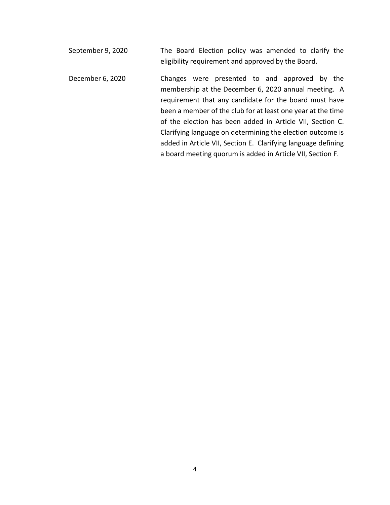- September 9, 2020 The Board Election policy was amended to clarify the eligibility requirement and approved by the Board. December 6, 2020 Changes were presented to and approved by the membership at the December 6, 2020 annual meeting. A requirement that any candidate for the board must have been a member of the club for at least one year at the time of the election has been added in Article VII, Section C.
	- added in Article VII, Section E. Clarifying language defining a board meeting quorum is added in Article VII, Section F.

Clarifying language on determining the election outcome is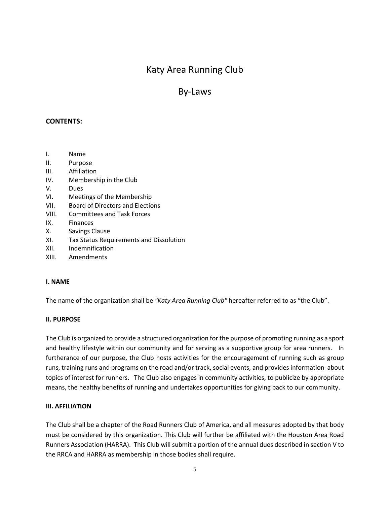### By-Laws

#### <span id="page-4-0"></span>**CONTENTS:**

- I. Name
- II. Purpose
- III. Affiliation
- IV. Membership in the Club
- V. Dues
- VI. Meetings of the Membership
- VII. Board of Directors and Elections
- VIII. Committees and Task Forces
- IX. Finances
- X. Savings Clause
- XI. Tax Status Requirements and Dissolution
- XII. Indemnification
- XIII. Amendments

#### **I. NAME**

The name of the organization shall be *"Katy Area Running Club"* hereafter referred to as "the Club".

#### **II. PURPOSE**

The Club is organized to provide a structured organization for the purpose of promoting running as a sport and healthy lifestyle within our community and for serving as a supportive group for area runners. In furtherance of our purpose, the Club hosts activities for the encouragement of running such as group runs, training runs and programs on the road and/or track, social events, and provides information about topics of interest for runners. The Club also engages in community activities, to publicize by appropriate means, the healthy benefits of running and undertakes opportunities for giving back to our community.

#### **III. AFFILIATION**

The Club shall be a chapter of the Road Runners Club of America, and all measures adopted by that body must be considered by this organization. This Club will further be affiliated with the Houston Area Road Runners Association (HARRA). This Club will submit a portion of the annual dues described in section V to the RRCA and HARRA as membership in those bodies shall require.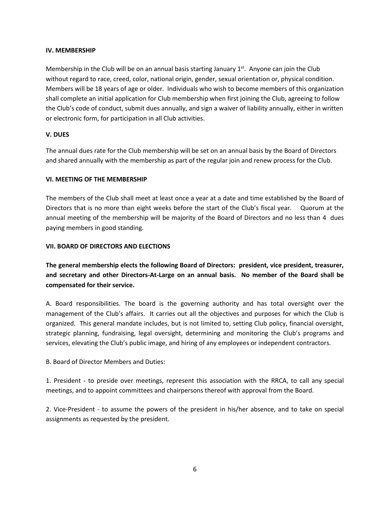#### **IV. MEMBERSHIP**

Membership in the Club will be on an annual basis starting January  $1<sup>st</sup>$ . Anyone can join the Club without regard to race, creed, color, national origin, gender, sexual orientation or, physical condition. Members will be 18 years of age or older. Individuals who wish to become members of this organization shall complete an initial application for Club membership when first joining the Club, agreeing to follow the Club's code of conduct, submit dues annually, and sign a waiver of liability annually, either in written or electronic form, for participation in all Club activities.

#### **V. DUES**

The annual dues rate for the Club membership will be set on an annual basis by the Board of Directors and shared annually with the membership as part of the regular join and renew process for the Club.

#### **VI. MEETING OF THE MEMBERSHIP**

The members of the Club shall meet at least once a year at a date and time established by the Board of Directors that is no more than eight weeks before the start of the Club's fiscal year. Quorum at the annual meeting of the membership will be majority of the Board of Directors and no less than 4 dues paying members in good standing.

#### **VII. BOARD OF DIRECTORS AND ELECTIONS**

**The general membership elects the following Board of Directors: president, vice president, treasurer, and secretary and other Directors-At-Large on an annual basis. No member of the Board shall be compensated for their service.**

A. Board responsibilities. The board is the governing authority and has total oversight over the management of the Club's affairs. It carries out all the objectives and purposes for which the Club is organized. This general mandate includes, but is not limited to, setting Club policy, financial oversight, strategic planning, fundraising, legal oversight, determining and monitoring the Club's programs and services, elevating the Club's public image, and hiring of any employees or independent contractors.

B. Board of Director Members and Duties:

1. President - to preside over meetings, represent this association with the RRCA, to call any special meetings, and to appoint committees and chairpersons thereof with approval from the Board.

2. Vice-President - to assume the powers of the president in his/her absence, and to take on special assignments as requested by the president.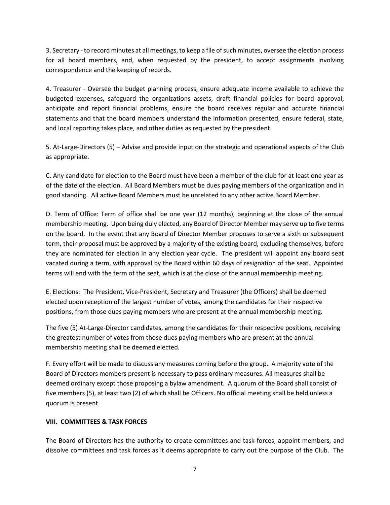3. Secretary -to record minutes at all meetings, to keep a file of such minutes, oversee the election process for all board members, and, when requested by the president, to accept assignments involving correspondence and the keeping of records.

4. Treasurer - Oversee the budget planning process, ensure adequate income available to achieve the budgeted expenses, safeguard the organizations assets, draft financial policies for board approval, anticipate and report financial problems, ensure the board receives regular and accurate financial statements and that the board members understand the information presented, ensure federal, state, and local reporting takes place, and other duties as requested by the president.

5. At-Large-Directors (5) – Advise and provide input on the strategic and operational aspects of the Club as appropriate.

C. Any candidate for election to the Board must have been a member of the club for at least one year as of the date of the election. All Board Members must be dues paying members of the organization and in good standing. All active Board Members must be unrelated to any other active Board Member.

D. Term of Office: Term of office shall be one year (12 months), beginning at the close of the annual membership meeting. Upon being duly elected, any Board of Director Member may serve up to five terms on the board. In the event that any Board of Director Member proposes to serve a sixth or subsequent term, their proposal must be approved by a majority of the existing board, excluding themselves, before they are nominated for election in any election year cycle. The president will appoint any board seat vacated during a term, with approval by the Board within 60 days of resignation of the seat. Appointed terms will end with the term of the seat, which is at the close of the annual membership meeting.

E. Elections: The President, Vice-President, Secretary and Treasurer (the Officers) shall be deemed elected upon reception of the largest number of votes, among the candidates for their respective positions, from those dues paying members who are present at the annual membership meeting*.* 

The five (5) At-Large-Director candidates, among the candidates for their respective positions, receiving the greatest number of votes from those dues paying members who are present at the annual membership meeting shall be deemed elected.

F. Every effort will be made to discuss any measures coming before the group. A majority vote of the Board of Directors members present is necessary to pass ordinary measures. All measures shall be deemed ordinary except those proposing a bylaw amendment. A quorum of the Board shall consist of five members (5), at least two (2) of which shall be Officers. No official meeting shall be held unless a quorum is present.

#### **VIII. COMMITTEES & TASK FORCES**

The Board of Directors has the authority to create committees and task forces, appoint members, and dissolve committees and task forces as it deems appropriate to carry out the purpose of the Club. The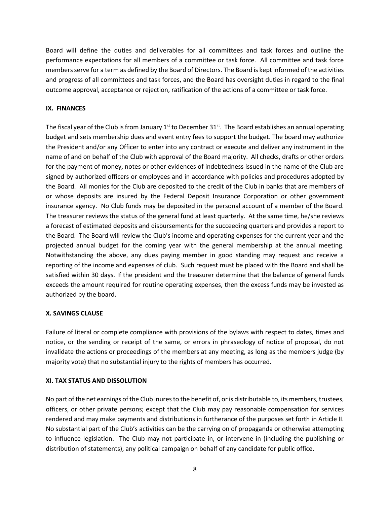Board will define the duties and deliverables for all committees and task forces and outline the performance expectations for all members of a committee or task force. All committee and task force members serve for a term as defined by the Board of Directors. The Board is kept informed of the activities and progress of all committees and task forces, and the Board has oversight duties in regard to the final outcome approval, acceptance or rejection, ratification of the actions of a committee or task force.

#### **IX. FINANCES**

The fiscal year of the Club is from January 1<sup>st</sup> to December 31<sup>st</sup>. The Board establishes an annual operating budget and sets membership dues and event entry fees to support the budget. The board may authorize the President and/or any Officer to enter into any contract or execute and deliver any instrument in the name of and on behalf of the Club with approval of the Board majority. All checks, drafts or other orders for the payment of money, notes or other evidences of indebtedness issued in the name of the Club are signed by authorized officers or employees and in accordance with policies and procedures adopted by the Board. All monies for the Club are deposited to the credit of the Club in banks that are members of or whose deposits are insured by the Federal Deposit Insurance Corporation or other government insurance agency. No Club funds may be deposited in the personal account of a member of the Board. The treasurer reviews the status of the general fund at least quarterly. At the same time, he/she reviews a forecast of estimated deposits and disbursements for the succeeding quarters and provides a report to the Board. The Board will review the Club's income and operating expenses for the current year and the projected annual budget for the coming year with the general membership at the annual meeting. Notwithstanding the above, any dues paying member in good standing may request and receive a reporting of the income and expenses of club. Such request must be placed with the Board and shall be satisfied within 30 days. If the president and the treasurer determine that the balance of general funds exceeds the amount required for routine operating expenses, then the excess funds may be invested as authorized by the board.

#### **X. SAVINGS CLAUSE**

Failure of literal or complete compliance with provisions of the bylaws with respect to dates, times and notice, or the sending or receipt of the same, or errors in phraseology of notice of proposal, do not invalidate the actions or proceedings of the members at any meeting, as long as the members judge (by majority vote) that no substantial injury to the rights of members has occurred.

#### **XI. TAX STATUS AND DISSOLUTION**

No part of the net earnings of the Club inures to the benefit of, or is distributable to, its members, trustees, officers, or other private persons; except that the Club may pay reasonable compensation for services rendered and may make payments and distributions in furtherance of the purposes set forth in Article II. No substantial part of the Club's activities can be the carrying on of propaganda or otherwise attempting to influence legislation. The Club may not participate in, or intervene in (including the publishing or distribution of statements), any political campaign on behalf of any candidate for public office.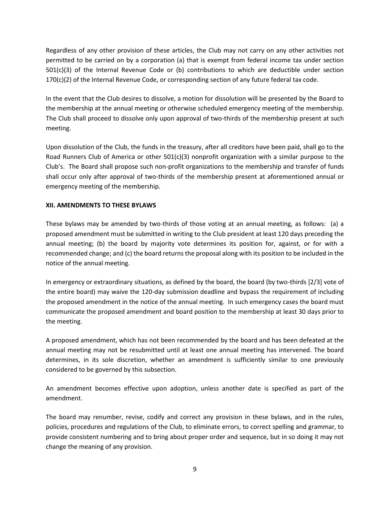Regardless of any other provision of these articles, the Club may not carry on any other activities not permitted to be carried on by a corporation (a) that is exempt from federal income tax under section 501(c)(3) of the Internal Revenue Code or (b) contributions to which are deductible under section 170(c)(2) of the Internal Revenue Code, or corresponding section of any future federal tax code.

In the event that the Club desires to dissolve, a motion for dissolution will be presented by the Board to the membership at the annual meeting or otherwise scheduled emergency meeting of the membership. The Club shall proceed to dissolve only upon approval of two-thirds of the membership present at such meeting.

Upon dissolution of the Club, the funds in the treasury, after all creditors have been paid, shall go to the Road Runners Club of America or other 501(c)(3) nonprofit organization with a similar purpose to the Club's. The Board shall propose such non-profit organizations to the membership and transfer of funds shall occur only after approval of two-thirds of the membership present at aforementioned annual or emergency meeting of the membership.

#### **XII. AMENDMENTS TO THESE BYLAWS**

These bylaws may be amended by two-thirds of those voting at an annual meeting, as follows: (a) a proposed amendment must be submitted in writing to the Club president at least 120 days preceding the annual meeting; (b) the board by majority vote determines its position for, against, or for with a recommended change; and (c) the board returns the proposal along with its position to be included in the notice of the annual meeting.

In emergency or extraordinary situations, as defined by the board, the board (by two-thirds [2/3] vote of the entire board) may waive the 120-day submission deadline and bypass the requirement of including the proposed amendment in the notice of the annual meeting. In such emergency cases the board must communicate the proposed amendment and board position to the membership at least 30 days prior to the meeting.

A proposed amendment, which has not been recommended by the board and has been defeated at the annual meeting may not be resubmitted until at least one annual meeting has intervened. The board determines, in its sole discretion, whether an amendment is sufficiently similar to one previously considered to be governed by this subsection.

An amendment becomes effective upon adoption, unless another date is specified as part of the amendment.

The board may renumber, revise, codify and correct any provision in these bylaws, and in the rules, policies, procedures and regulations of the Club, to eliminate errors, to correct spelling and grammar, to provide consistent numbering and to bring about proper order and sequence, but in so doing it may not change the meaning of any provision.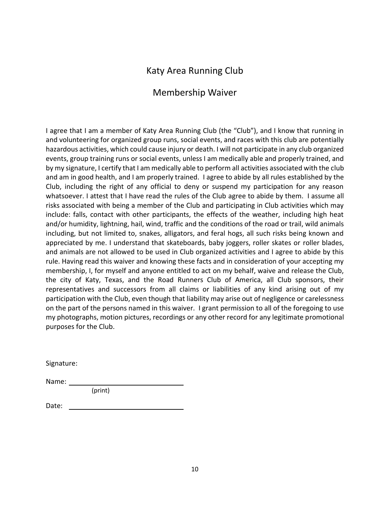### Membership Waiver

<span id="page-9-0"></span>I agree that I am a member of Katy Area Running Club (the "Club"), and I know that running in and volunteering for organized group runs, social events, and races with this club are potentially hazardous activities, which could cause injury or death. I will not participate in any club organized events, group training runs or social events, unless I am medically able and properly trained, and by my signature, I certify that I am medically able to perform all activities associated with the club and am in good health, and I am properly trained. I agree to abide by all rules established by the Club, including the right of any official to deny or suspend my participation for any reason whatsoever. I attest that I have read the rules of the Club agree to abide by them. I assume all risks associated with being a member of the Club and participating in Club activities which may include: falls, contact with other participants, the effects of the weather, including high heat and/or humidity, lightning, hail, wind, traffic and the conditions of the road or trail, wild animals including, but not limited to, snakes, alligators, and feral hogs, all such risks being known and appreciated by me. I understand that skateboards, baby joggers, roller skates or roller blades, and animals are not allowed to be used in Club organized activities and I agree to abide by this rule. Having read this waiver and knowing these facts and in consideration of your accepting my membership, I, for myself and anyone entitled to act on my behalf, waive and release the Club, the city of Katy, Texas, and the Road Runners Club of America, all Club sponsors, their representatives and successors from all claims or liabilities of any kind arising out of my participation with the Club, even though that liability may arise out of negligence or carelessness on the part of the persons named in this waiver. I grant permission to all of the foregoing to use my photographs, motion pictures, recordings or any other record for any legitimate promotional purposes for the Club.

Signature:

Name: \_\_\_\_

(print)

Date: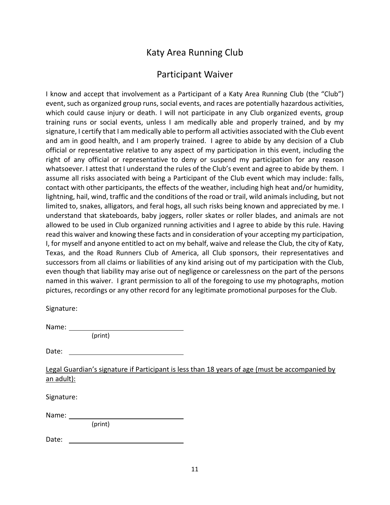## Participant Waiver

<span id="page-10-0"></span>I know and accept that involvement as a Participant of a Katy Area Running Club (the "Club") event, such as organized group runs, social events, and races are potentially hazardous activities, which could cause injury or death. I will not participate in any Club organized events, group training runs or social events, unless I am medically able and properly trained, and by my signature, I certify that I am medically able to perform all activities associated with the Club event and am in good health, and I am properly trained. I agree to abide by any decision of a Club official or representative relative to any aspect of my participation in this event, including the right of any official or representative to deny or suspend my participation for any reason whatsoever. I attest that I understand the rules of the Club's event and agree to abide by them. I assume all risks associated with being a Participant of the Club event which may include: falls, contact with other participants, the effects of the weather, including high heat and/or humidity, lightning, hail, wind, traffic and the conditions of the road or trail, wild animals including, but not limited to, snakes, alligators, and feral hogs, all such risks being known and appreciated by me. I understand that skateboards, baby joggers, roller skates or roller blades, and animals are not allowed to be used in Club organized running activities and I agree to abide by this rule. Having read this waiver and knowing these facts and in consideration of your accepting my participation, I, for myself and anyone entitled to act on my behalf, waive and release the Club, the city of Katy, Texas, and the Road Runners Club of America, all Club sponsors, their representatives and successors from all claims or liabilities of any kind arising out of my participation with the Club, even though that liability may arise out of negligence or carelessness on the part of the persons named in this waiver. I grant permission to all of the foregoing to use my photographs, motion pictures, recordings or any other record for any legitimate promotional purposes for the Club.

Signature:

Name:

(print)

Legal Guardian's signature if Participant is less than 18 years of age (must be accompanied by an adult):

Signature:

Name:

(print)

Date: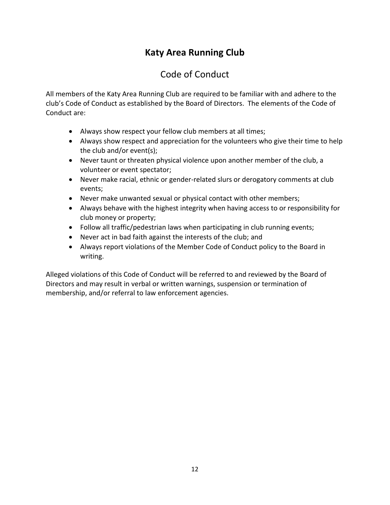## Code of Conduct

<span id="page-11-0"></span>All members of the Katy Area Running Club are required to be familiar with and adhere to the club's Code of Conduct as established by the Board of Directors. The elements of the Code of Conduct are:

- Always show respect your fellow club members at all times;
- Always show respect and appreciation for the volunteers who give their time to help the club and/or event(s);
- Never taunt or threaten physical violence upon another member of the club, a volunteer or event spectator;
- Never make racial, ethnic or gender-related slurs or derogatory comments at club events;
- Never make unwanted sexual or physical contact with other members;
- Always behave with the highest integrity when having access to or responsibility for club money or property;
- Follow all traffic/pedestrian laws when participating in club running events;
- Never act in bad faith against the interests of the club; and
- Always report violations of the Member Code of Conduct policy to the Board in writing.

Alleged violations of this Code of Conduct will be referred to and reviewed by the Board of Directors and may result in verbal or written warnings, suspension or termination of membership, and/or referral to law enforcement agencies.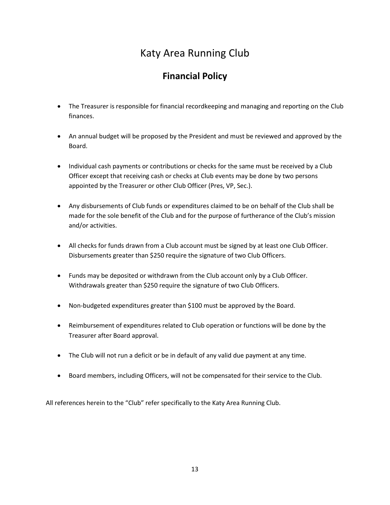## **Financial Policy**

- <span id="page-12-0"></span>• The Treasurer is responsible for financial recordkeeping and managing and reporting on the Club finances.
- An annual budget will be proposed by the President and must be reviewed and approved by the Board.
- Individual cash payments or contributions or checks for the same must be received by a Club Officer except that receiving cash or checks at Club events may be done by two persons appointed by the Treasurer or other Club Officer (Pres, VP, Sec.).
- Any disbursements of Club funds or expenditures claimed to be on behalf of the Club shall be made for the sole benefit of the Club and for the purpose of furtherance of the Club's mission and/or activities.
- All checks for funds drawn from a Club account must be signed by at least one Club Officer. Disbursements greater than \$250 require the signature of two Club Officers.
- Funds may be deposited or withdrawn from the Club account only by a Club Officer. Withdrawals greater than \$250 require the signature of two Club Officers.
- Non-budgeted expenditures greater than \$100 must be approved by the Board.
- Reimbursement of expenditures related to Club operation or functions will be done by the Treasurer after Board approval.
- The Club will not run a deficit or be in default of any valid due payment at any time.
- Board members, including Officers, will not be compensated for their service to the Club.

All references herein to the "Club" refer specifically to the Katy Area Running Club.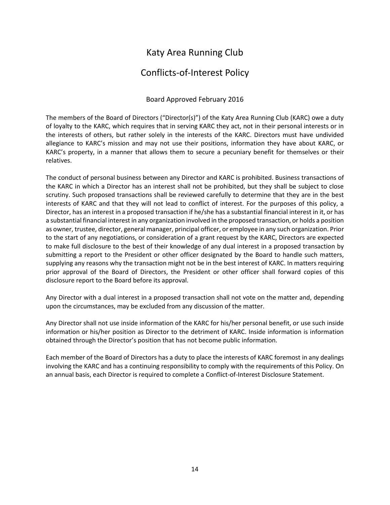## Conflicts-of-Interest Policy

### Board Approved February 2016

<span id="page-13-0"></span>The members of the Board of Directors ("Director(s)") of the Katy Area Running Club (KARC) owe a duty of loyalty to the KARC, which requires that in serving KARC they act, not in their personal interests or in the interests of others, but rather solely in the interests of the KARC. Directors must have undivided allegiance to KARC's mission and may not use their positions, information they have about KARC, or KARC's property, in a manner that allows them to secure a pecuniary benefit for themselves or their relatives.

The conduct of personal business between any Director and KARC is prohibited. Business transactions of the KARC in which a Director has an interest shall not be prohibited, but they shall be subject to close scrutiny. Such proposed transactions shall be reviewed carefully to determine that they are in the best interests of KARC and that they will not lead to conflict of interest. For the purposes of this policy, a Director, has an interest in a proposed transaction if he/she has a substantial financial interest in it, or has a substantial financial interest in any organization involved in the proposed transaction, or holds a position as owner, trustee, director, general manager, principal officer, or employee in any such organization. Prior to the start of any negotiations, or consideration of a grant request by the KARC, Directors are expected to make full disclosure to the best of their knowledge of any dual interest in a proposed transaction by submitting a report to the President or other officer designated by the Board to handle such matters, supplying any reasons why the transaction might not be in the best interest of KARC. In matters requiring prior approval of the Board of Directors, the President or other officer shall forward copies of this disclosure report to the Board before its approval.

Any Director with a dual interest in a proposed transaction shall not vote on the matter and, depending upon the circumstances, may be excluded from any discussion of the matter.

Any Director shall not use inside information of the KARC for his/her personal benefit, or use such inside information or his/her position as Director to the detriment of KARC. Inside information is information obtained through the Director's position that has not become public information.

Each member of the Board of Directors has a duty to place the interests of KARC foremost in any dealings involving the KARC and has a continuing responsibility to comply with the requirements of this Policy. On an annual basis, each Director is required to complete a Conflict-of-Interest Disclosure Statement.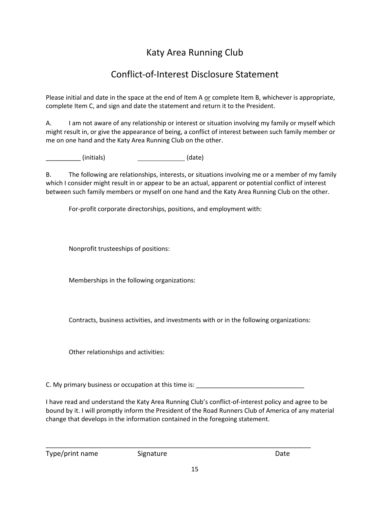## Conflict-of-Interest Disclosure Statement

<span id="page-14-0"></span>Please initial and date in the space at the end of Item A or complete Item B, whichever is appropriate, complete Item C, and sign and date the statement and return it to the President.

A. I am not aware of any relationship or interest or situation involving my family or myself which might result in, or give the appearance of being, a conflict of interest between such family member or me on one hand and the Katy Area Running Club on the other.

\_\_\_\_\_\_\_\_\_\_ (initials) (date)

B. The following are relationships, interests, or situations involving me or a member of my family which I consider might result in or appear to be an actual, apparent or potential conflict of interest between such family members or myself on one hand and the Katy Area Running Club on the other.

For-profit corporate directorships, positions, and employment with:

Nonprofit trusteeships of positions:

Memberships in the following organizations:

Contracts, business activities, and investments with or in the following organizations:

Other relationships and activities:

C. My primary business or occupation at this time is:

\_\_\_\_\_\_\_\_\_\_\_\_\_\_\_\_\_\_\_\_\_\_\_\_\_\_\_\_\_\_\_\_\_\_\_\_\_\_\_\_\_\_\_\_\_\_\_\_\_\_\_\_\_\_\_\_\_\_\_\_\_\_\_\_\_\_\_\_\_\_\_\_\_\_\_\_

I have read and understand the Katy Area Running Club's conflict-of-interest policy and agree to be bound by it. I will promptly inform the President of the Road Runners Club of America of any material change that develops in the information contained in the foregoing statement.

Type/print name Signature Signature Date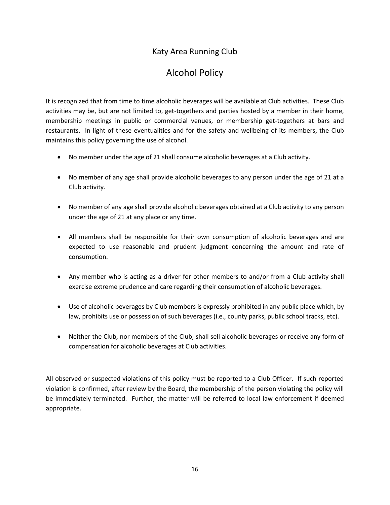## Alcohol Policy

<span id="page-15-0"></span>It is recognized that from time to time alcoholic beverages will be available at Club activities. These Club activities may be, but are not limited to, get-togethers and parties hosted by a member in their home, membership meetings in public or commercial venues, or membership get-togethers at bars and restaurants. In light of these eventualities and for the safety and wellbeing of its members, the Club maintains this policy governing the use of alcohol.

- No member under the age of 21 shall consume alcoholic beverages at a Club activity.
- No member of any age shall provide alcoholic beverages to any person under the age of 21 at a Club activity.
- No member of any age shall provide alcoholic beverages obtained at a Club activity to any person under the age of 21 at any place or any time.
- All members shall be responsible for their own consumption of alcoholic beverages and are expected to use reasonable and prudent judgment concerning the amount and rate of consumption.
- Any member who is acting as a driver for other members to and/or from a Club activity shall exercise extreme prudence and care regarding their consumption of alcoholic beverages.
- Use of alcoholic beverages by Club members is expressly prohibited in any public place which, by law, prohibits use or possession of such beverages (i.e., county parks, public school tracks, etc).
- Neither the Club, nor members of the Club, shall sell alcoholic beverages or receive any form of compensation for alcoholic beverages at Club activities.

All observed or suspected violations of this policy must be reported to a Club Officer. If such reported violation is confirmed, after review by the Board, the membership of the person violating the policy will be immediately terminated. Further, the matter will be referred to local law enforcement if deemed appropriate.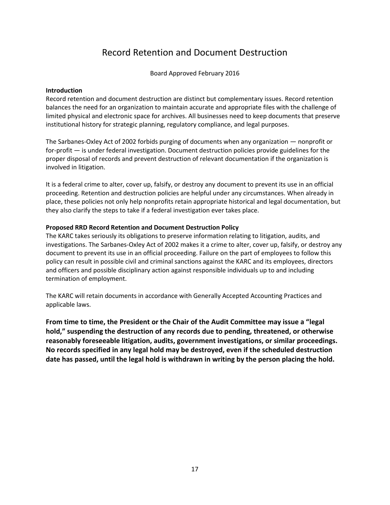## Record Retention and Document Destruction

Board Approved February 2016

#### <span id="page-16-0"></span>**Introduction**

Record retention and document destruction are distinct but complementary issues. Record retention balances the need for an organization to maintain accurate and appropriate files with the challenge of limited physical and electronic space for archives. All businesses need to keep documents that preserve institutional history for strategic planning, regulatory compliance, and legal purposes.

The Sarbanes-Oxley Act of 2002 forbids purging of documents when any organization — nonprofit or for-profit — is under federal investigation. Document destruction policies provide guidelines for the proper disposal of records and prevent destruction of relevant documentation if the organization is involved in litigation.

It is a federal crime to alter, cover up, falsify, or destroy any document to prevent its use in an official proceeding. Retention and destruction policies are helpful under any circumstances. When already in place, these policies not only help nonprofits retain appropriate historical and legal documentation, but they also clarify the steps to take if a federal investigation ever takes place.

#### **Proposed RRD Record Retention and Document Destruction Policy**

The KARC takes seriously its obligations to preserve information relating to litigation, audits, and investigations. The Sarbanes-Oxley Act of 2002 makes it a crime to alter, cover up, falsify, or destroy any document to prevent its use in an official proceeding. Failure on the part of employees to follow this policy can result in possible civil and criminal sanctions against the KARC and its employees, directors and officers and possible disciplinary action against responsible individuals up to and including termination of employment.

The KARC will retain documents in accordance with Generally Accepted Accounting Practices and applicable laws.

**From time to time, the President or the Chair of the Audit Committee may issue a "legal hold," suspending the destruction of any records due to pending, threatened, or otherwise reasonably foreseeable litigation, audits, government investigations, or similar proceedings. No records specified in any legal hold may be destroyed, even if the scheduled destruction date has passed, until the legal hold is withdrawn in writing by the person placing the hold.**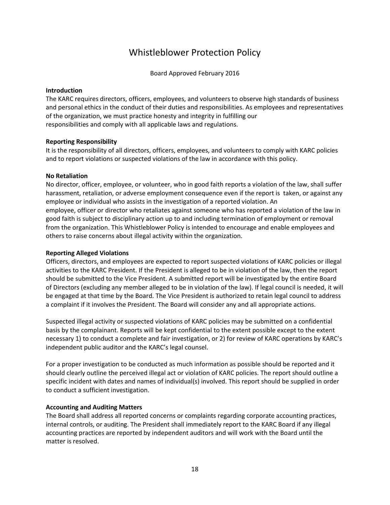## Whistleblower Protection Policy

Board Approved February 2016

#### <span id="page-17-0"></span>**Introduction**

The KARC requires directors, officers, employees, and volunteers to observe high standards of business and personal ethics in the conduct of their duties and responsibilities. As employees and representatives of the organization, we must practice honesty and integrity in fulfilling our responsibilities and comply with all applicable laws and regulations.

#### **Reporting Responsibility**

It is the responsibility of all directors, officers, employees, and volunteers to comply with KARC policies and to report violations or suspected violations of the law in accordance with this policy.

#### **No Retaliation**

No director, officer, employee, or volunteer, who in good faith reports a violation of the law, shall suffer harassment, retaliation, or adverse employment consequence even if the report is taken, or against any employee or individual who assists in the investigation of a reported violation. An employee, officer or director who retaliates against someone who has reported a violation of the law in good faith is subject to disciplinary action up to and including termination of employment or removal from the organization. This Whistleblower Policy is intended to encourage and enable employees and others to raise concerns about illegal activity within the organization.

#### **Reporting Alleged Violations**

Officers, directors, and employees are expected to report suspected violations of KARC policies or illegal activities to the KARC President. If the President is alleged to be in violation of the law, then the report should be submitted to the Vice President. A submitted report will be investigated by the entire Board of Directors (excluding any member alleged to be in violation of the law). If legal council is needed, it will be engaged at that time by the Board. The Vice President is authorized to retain legal council to address a complaint if it involves the President. The Board will consider any and all appropriate actions.

Suspected illegal activity or suspected violations of KARC policies may be submitted on a confidential basis by the complainant. Reports will be kept confidential to the extent possible except to the extent necessary 1) to conduct a complete and fair investigation, or 2) for review of KARC operations by KARC's independent public auditor and the KARC's legal counsel.

For a proper investigation to be conducted as much information as possible should be reported and it should clearly outline the perceived illegal act or violation of KARC policies. The report should outline a specific incident with dates and names of individual(s) involved. This report should be supplied in order to conduct a sufficient investigation.

#### **Accounting and Auditing Matters**

The Board shall address all reported concerns or complaints regarding corporate accounting practices, internal controls, or auditing. The President shall immediately report to the KARC Board if any illegal accounting practices are reported by independent auditors and will work with the Board until the matter is resolved.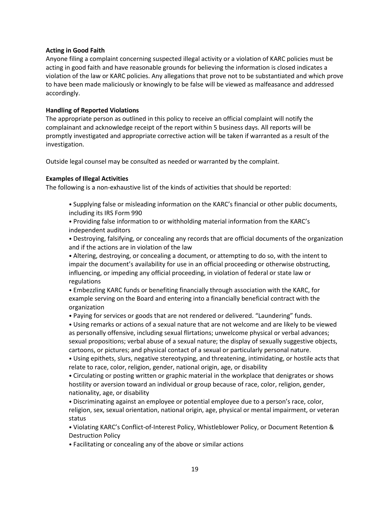#### **Acting in Good Faith**

Anyone filing a complaint concerning suspected illegal activity or a violation of KARC policies must be acting in good faith and have reasonable grounds for believing the information is closed indicates a violation of the law or KARC policies. Any allegations that prove not to be substantiated and which prove to have been made maliciously or knowingly to be false will be viewed as malfeasance and addressed accordingly.

#### **Handling of Reported Violations**

The appropriate person as outlined in this policy to receive an official complaint will notify the complainant and acknowledge receipt of the report within 5 business days. All reports will be promptly investigated and appropriate corrective action will be taken if warranted as a result of the investigation.

Outside legal counsel may be consulted as needed or warranted by the complaint.

#### **Examples of Illegal Activities**

The following is a non-exhaustive list of the kinds of activities that should be reported:

- Supplying false or misleading information on the KARC's financial or other public documents, including its IRS Form 990
- Providing false information to or withholding material information from the KARC's independent auditors
- Destroying, falsifying, or concealing any records that are official documents of the organization and if the actions are in violation of the law

• Altering, destroying, or concealing a document, or attempting to do so, with the intent to impair the document's availability for use in an official proceeding or otherwise obstructing, influencing, or impeding any official proceeding, in violation of federal or state law or regulations

• Embezzling KARC funds or benefiting financially through association with the KARC, for example serving on the Board and entering into a financially beneficial contract with the organization

• Paying for services or goods that are not rendered or delivered. "Laundering" funds.

• Using remarks or actions of a sexual nature that are not welcome and are likely to be viewed as personally offensive, including sexual flirtations; unwelcome physical or verbal advances; sexual propositions; verbal abuse of a sexual nature; the display of sexually suggestive objects, cartoons, or pictures; and physical contact of a sexual or particularly personal nature.

• Using epithets, slurs, negative stereotyping, and threatening, intimidating, or hostile acts that relate to race, color, religion, gender, national origin, age, or disability

• Circulating or posting written or graphic material in the workplace that denigrates or shows hostility or aversion toward an individual or group because of race, color, religion, gender, nationality, age, or disability

• Discriminating against an employee or potential employee due to a person's race, color, religion, sex, sexual orientation, national origin, age, physical or mental impairment, or veteran status

• Violating KARC's Conflict-of-Interest Policy, Whistleblower Policy, or Document Retention & Destruction Policy

• Facilitating or concealing any of the above or similar actions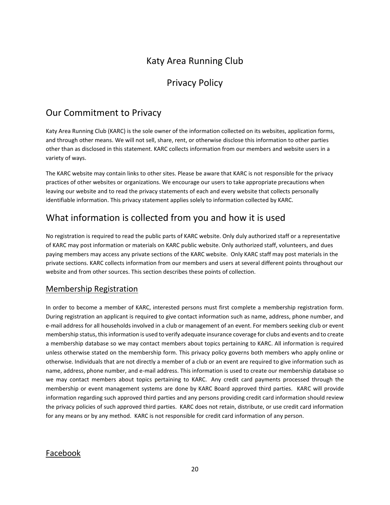## Privacy Policy

## <span id="page-19-0"></span>Our Commitment to Privacy

Katy Area Running Club (KARC) is the sole owner of the information collected on its websites, application forms, and through other means. We will not sell, share, rent, or otherwise disclose this information to other parties other than as disclosed in this statement. KARC collects information from our members and website users in a variety of ways.

The KARC website may contain links to other sites. Please be aware that KARC is not responsible for the privacy practices of other websites or organizations. We encourage our users to take appropriate precautions when leaving our website and to read the privacy statements of each and every website that collects personally identifiable information. This privacy statement applies solely to information collected by KARC.

## What information is collected from you and how it is used

No registration is required to read the public parts of KARC website. Only duly authorized staff or a representative of KARC may post information or materials on KARC public website. Only authorized staff, volunteers, and dues paying members may access any private sections of the KARC website. Only KARC staff may post materials in the private sections. KARC collects information from our members and users at several different points throughout our website and from other sources. This section describes these points of collection.

### Membership Registration

In order to become a member of KARC, interested persons must first complete a membership registration form. During registration an applicant is required to give contact information such as name, address, phone number, and e-mail address for all households involved in a club or management of an event. For members seeking club or event membership status, this information is used to verify adequate insurance coverage for clubs and events and to create a membership database so we may contact members about topics pertaining to KARC. All information is required unless otherwise stated on the membership form. This privacy policy governs both members who apply online or otherwise. Individuals that are not directly a member of a club or an event are required to give information such as name, address, phone number, and e-mail address. This information is used to create our membership database so we may contact members about topics pertaining to KARC. Any credit card payments processed through the membership or event management systems are done by KARC Board approved third parties. KARC will provide information regarding such approved third parties and any persons providing credit card information should review the privacy policies of such approved third parties. KARC does not retain, distribute, or use credit card information for any means or by any method. KARC is not responsible for credit card information of any person.

### Facebook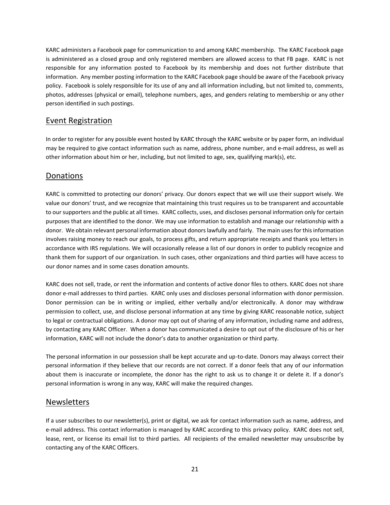KARC administers a Facebook page for communication to and among KARC membership. The KARC Facebook page is administered as a closed group and only registered members are allowed access to that FB page. KARC is not responsible for any information posted to Facebook by its membership and does not further distribute that information. Any member posting information to the KARC Facebook page should be aware of the Facebook privacy policy. Facebook is solely responsible for its use of any and all information including, but not limited to, comments, photos, addresses (physical or email), telephone numbers, ages, and genders relating to membership or any other person identified in such postings.

### Event Registration

In order to register for any possible event hosted by KARC through the KARC website or by paper form, an individual may be required to give contact information such as name, address, phone number, and e-mail address, as well as other information about him or her, including, but not limited to age, sex, qualifying mark(s), etc.

### Donations

KARC is committed to protecting our donors' privacy. Our donors expect that we will use their support wisely. We value our donors' trust, and we recognize that maintaining this trust requires us to be transparent and accountable to our supporters and the public at all times. KARC collects, uses, and discloses personal information only for certain purposes that are identified to the donor. We may use information to establish and manage our relationship with a donor. We obtain relevant personal information about donors lawfully and fairly. The main uses for this information involves raising money to reach our goals, to process gifts, and return appropriate receipts and thank you letters in accordance with IRS regulations. We will occasionally release a list of our donors in order to publicly recognize and thank them for support of our organization. In such cases, other organizations and third parties will have access to our donor names and in some cases donation amounts.

KARC does not sell, trade, or rent the information and contents of active donor files to others. KARC does not share donor e-mail addresses to third parties. KARC only uses and discloses personal information with donor permission. Donor permission can be in writing or implied, either verbally and/or electronically. A donor may withdraw permission to collect, use, and disclose personal information at any time by giving KARC reasonable notice, subject to legal or contractual obligations. A donor may opt out of sharing of any information, including name and address, by contacting any KARC Officer. When a donor has communicated a desire to opt out of the disclosure of his or her information, KARC will not include the donor's data to another organization or third party.

The personal information in our possession shall be kept accurate and up-to-date. Donors may always correct their personal information if they believe that our records are not correct. If a donor feels that any of our information about them is inaccurate or incomplete, the donor has the right to ask us to change it or delete it. If a donor's personal information is wrong in any way, KARC will make the required changes.

#### Newsletters

If a user subscribes to our newsletter(s), print or digital, we ask for contact information such as name, address, and e-mail address. This contact information is managed by KARC according to this privacy policy. KARC does not sell, lease, rent, or license its email list to third parties. All recipients of the emailed newsletter may unsubscribe by contacting any of the KARC Officers.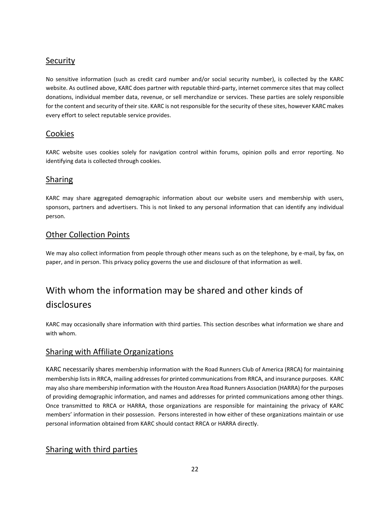### **Security**

No sensitive information (such as credit card number and/or social security number), is collected by the KARC website. As outlined above, KARC does partner with reputable third-party, internet commerce sites that may collect donations, individual member data, revenue, or sell merchandize or services. These parties are solely responsible for the content and security of their site. KARC is not responsible for the security of these sites, however KARC makes every effort to select reputable service provides.

### Cookies

KARC website uses cookies solely for navigation control within forums, opinion polls and error reporting. No identifying data is collected through cookies.

### Sharing

KARC may share aggregated demographic information about our website users and membership with users, sponsors, partners and advertisers. This is not linked to any personal information that can identify any individual person.

### Other Collection Points

We may also collect information from people through other means such as on the telephone, by e-mail, by fax, on paper, and in person. This privacy policy governs the use and disclosure of that information as well.

## With whom the information may be shared and other kinds of disclosures

KARC may occasionally share information with third parties. This section describes what information we share and with whom.

### Sharing with Affiliate Organizations

KARC necessarily shares membership information with the Road Runners Club of America (RRCA) for maintaining membership lists in RRCA, mailing addresses for printed communications from RRCA, and insurance purposes. KARC may also share membership information with the Houston Area Road Runners Association (HARRA) for the purposes of providing demographic information, and names and addresses for printed communications among other things. Once transmitted to RRCA or HARRA, those organizations are responsible for maintaining the privacy of KARC members' information in their possession. Persons interested in how either of these organizations maintain or use personal information obtained from KARC should contact RRCA or HARRA directly.

### Sharing with third parties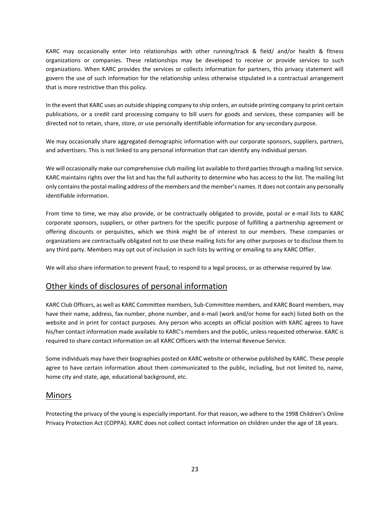KARC may occasionally enter into relationships with other running/track & field/ and/or health & fitness organizations or companies. These relationships may be developed to receive or provide services to such organizations. When KARC provides the services or collects information for partners, this privacy statement will govern the use of such information for the relationship unless otherwise stipulated in a contractual arrangement that is more restrictive than this policy.

In the event that KARC uses an outside shipping company to ship orders, an outside printing company to print certain publications, or a credit card processing company to bill users for goods and services, these companies will be directed not to retain, share, store, or use personally identifiable information for any secondary purpose.

We may occasionally share aggregated demographic information with our corporate sponsors, suppliers, partners, and advertisers. This is not linked to any personal information that can identify any individual person.

We will occasionally make our comprehensive club mailing list available to third parties through a mailing list service. KARC maintains rights over the list and has the full authority to determine who has access to the list. The mailing list only contains the postal mailing address of the members and the member's names. It does not contain any personally identifiable information.

From time to time, we may also provide, or be contractually obligated to provide, postal or e-mail lists to KARC corporate sponsors, suppliers, or other partners for the specific purpose of fulfilling a partnership agreement or offering discounts or perquisites, which we think might be of interest to our members. These companies or organizations are contractually obligated not to use these mailing lists for any other purposes or to disclose them to any third party. Members may opt out of inclusion in such lists by writing or emailing to any KARC Offier.

We will also share information to prevent fraud, to respond to a legal process, or as otherwise required by law.

### Other kinds of disclosures of personal information

KARC Club Officers, as well as KARC Committee members, Sub-Committee members, and KARC Board members, may have their name, address, fax number, phone number, and e-mail (work and/or home for each) listed both on the website and in print for contact purposes. Any person who accepts an official position with KARC agrees to have his/her contact information made available to KARC's members and the public, unless requested otherwise. KARC is required to share contact information on all KARC Officers with the Internal Revenue Service.

Some individuals may have their biographies posted on KARC website or otherwise published by KARC. These people agree to have certain information about them communicated to the public, including, but not limited to, name, home city and state, age, educational background, etc.

### Minors

Protecting the privacy of the young is especially important. For that reason, we adhere to the 1998 [Children's Online](http://www.ftc.gov/bcp/conline/edcams/kidzprivacy/adults.htm)  [Privacy Protection Act \(COPPA\).](http://www.ftc.gov/bcp/conline/edcams/kidzprivacy/adults.htm) KARC does not collect contact information on children under the age of 18 years.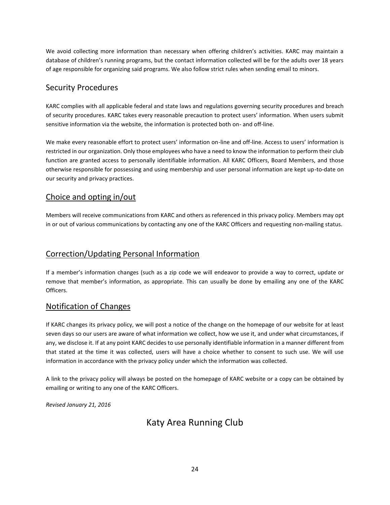We avoid collecting more information than necessary when offering children's activities. KARC may maintain a database of children's running programs, but the contact information collected will be for the adults over 18 years of age responsible for organizing said programs. We also follow strict rules when sending email to minors.

### Security Procedures

KARC complies with all applicable federal and state laws and regulations governing security procedures and breach of security procedures. KARC takes every reasonable precaution to protect users' information. When users submit sensitive information via the website, the information is protected both on- and off-line.

We make every reasonable effort to protect users' information on-line and off-line. Access to users' information is restricted in our organization. Only those employees who have a need to know the information to perform their club function are granted access to personally identifiable information. All KARC Officers, Board Members, and those otherwise responsible for possessing and using membership and user personal information are kept up-to-date on our security and privacy practices.

### Choice and opting in/out

Members will receive communications from KARC and others as referenced in this privacy policy. Members may opt in or out of various communications by contacting any one of the KARC Officers and requesting non-mailing status.

### Correction/Updating Personal Information

If a member's information changes (such as a zip code we will endeavor to provide a way to correct, update or remove that member's information, as appropriate. This can usually be done by emailing any one of the KARC Officers.

### Notification of Changes

If KARC changes its privacy policy, we will post a notice of the change on the homepage of our website for at least seven days so our users are aware of what information we collect, how we use it, and under what circumstances, if any, we disclose it. If at any point KARC decides to use personally identifiable information in a manner different from that stated at the time it was collected, users will have a choice whether to consent to such use. We will use information in accordance with the privacy policy under which the information was collected.

A link to the privacy policy will always be posted on the homepage of KARC website or a copy can be obtained by emailing or writing to any one of the KARC Officers.

*Revised January 21, 2016*

### Katy Area Running Club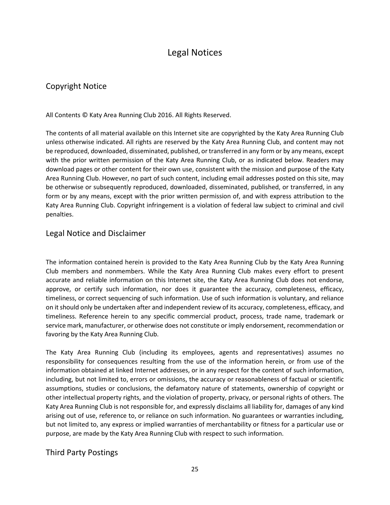### Legal Notices

### <span id="page-24-0"></span>Copyright Notice

All Contents © Katy Area Running Club 2016. All Rights Reserved.

The contents of all material available on this Internet site are copyrighted by the Katy Area Running Club unless otherwise indicated. All rights are reserved by the Katy Area Running Club, and content may not be reproduced, downloaded, disseminated, published, or transferred in any form or by any means, except with the prior written permission of the Katy Area Running Club, or as indicated below. Readers may download pages or other content for their own use, consistent with the mission and purpose of the Katy Area Running Club. However, no part of such content, including email addresses posted on this site, may be otherwise or subsequently reproduced, downloaded, disseminated, published, or transferred, in any form or by any means, except with the prior written permission of, and with express attribution to the Katy Area Running Club. Copyright infringement is a violation of federal law subject to criminal and civil penalties.

### Legal Notice and Disclaimer

The information contained herein is provided to the Katy Area Running Club by the Katy Area Running Club members and nonmembers. While the Katy Area Running Club makes every effort to present accurate and reliable information on this Internet site, the Katy Area Running Club does not endorse, approve, or certify such information, nor does it guarantee the accuracy, completeness, efficacy, timeliness, or correct sequencing of such information. Use of such information is voluntary, and reliance on it should only be undertaken after and independent review of its accuracy, completeness, efficacy, and timeliness. Reference herein to any specific commercial product, process, trade name, trademark or service mark, manufacturer, or otherwise does not constitute or imply endorsement, recommendation or favoring by the Katy Area Running Club.

The Katy Area Running Club (including its employees, agents and representatives) assumes no responsibility for consequences resulting from the use of the information herein, or from use of the information obtained at linked Internet addresses, or in any respect for the content of such information, including, but not limited to, errors or omissions, the accuracy or reasonableness of factual or scientific assumptions, studies or conclusions, the defamatory nature of statements, ownership of copyright or other intellectual property rights, and the violation of property, privacy, or personal rights of others. The Katy Area Running Club is not responsible for, and expressly disclaims all liability for, damages of any kind arising out of use, reference to, or reliance on such information. No guarantees or warranties including, but not limited to, any express or implied warranties of merchantability or fitness for a particular use or purpose, are made by the Katy Area Running Club with respect to such information.

### Third Party Postings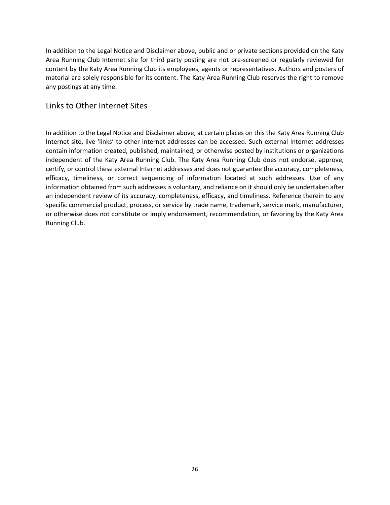In addition to the Legal Notice and Disclaimer above, public and or private sections provided on the Katy Area Running Club Internet site for third party posting are not pre-screened or regularly reviewed for content by the Katy Area Running Club its employees, agents or representatives. Authors and posters of material are solely responsible for its content. The Katy Area Running Club reserves the right to remove any postings at any time.

### Links to Other Internet Sites

In addition to the Legal Notice and Disclaimer above, at certain places on this the Katy Area Running Club Internet site, live 'links' to other Internet addresses can be accessed. Such external Internet addresses contain information created, published, maintained, or otherwise posted by institutions or organizations independent of the Katy Area Running Club. The Katy Area Running Club does not endorse, approve, certify, or control these external Internet addresses and does not guarantee the accuracy, completeness, efficacy, timeliness, or correct sequencing of information located at such addresses. Use of any information obtained from such addresses is voluntary, and reliance on it should only be undertaken after an independent review of its accuracy, completeness, efficacy, and timeliness. Reference therein to any specific commercial product, process, or service by trade name, trademark, service mark, manufacturer, or otherwise does not constitute or imply endorsement, recommendation, or favoring by the Katy Area Running Club.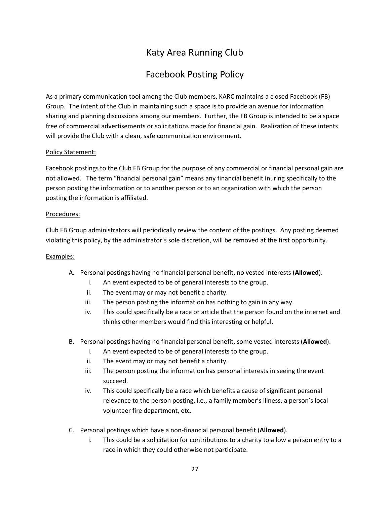## Facebook Posting Policy

<span id="page-26-0"></span>As a primary communication tool among the Club members, KARC maintains a closed Facebook (FB) Group. The intent of the Club in maintaining such a space is to provide an avenue for information sharing and planning discussions among our members. Further, the FB Group is intended to be a space free of commercial advertisements or solicitations made for financial gain. Realization of these intents will provide the Club with a clean, safe communication environment.

#### Policy Statement:

Facebook postings to the Club FB Group for the purpose of any commercial or financial personal gain are not allowed. The term "financial personal gain" means any financial benefit inuring specifically to the person posting the information or to another person or to an organization with which the person posting the information is affiliated.

#### Procedures:

Club FB Group administrators will periodically review the content of the postings. Any posting deemed violating this policy, by the administrator's sole discretion, will be removed at the first opportunity.

#### Examples:

- A. Personal postings having no financial personal benefit, no vested interests (**Allowed**).
	- i. An event expected to be of general interests to the group.
	- ii. The event may or may not benefit a charity.
	- iii. The person posting the information has nothing to gain in any way.
	- iv. This could specifically be a race or article that the person found on the internet and thinks other members would find this interesting or helpful.
- B. Personal postings having no financial personal benefit, some vested interests (**Allowed**).
	- i. An event expected to be of general interests to the group.
	- ii. The event may or may not benefit a charity.
	- iii. The person posting the information has personal interests in seeing the event succeed.
	- iv. This could specifically be a race which benefits a cause of significant personal relevance to the person posting, i.e., a family member's illness, a person's local volunteer fire department, etc.
- C. Personal postings which have a non-financial personal benefit (**Allowed**).
	- i. This could be a solicitation for contributions to a charity to allow a person entry to a race in which they could otherwise not participate.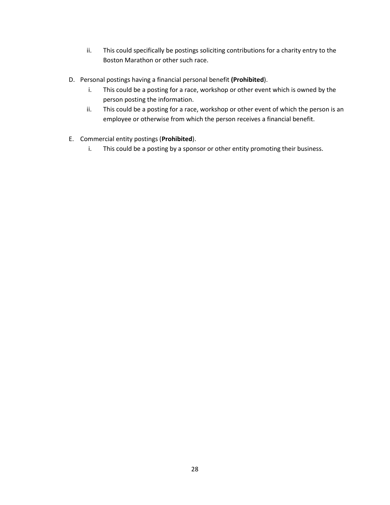- ii. This could specifically be postings soliciting contributions for a charity entry to the Boston Marathon or other such race.
- D. Personal postings having a financial personal benefit **(Prohibited**).
	- i. This could be a posting for a race, workshop or other event which is owned by the person posting the information.
	- ii. This could be a posting for a race, workshop or other event of which the person is an employee or otherwise from which the person receives a financial benefit.
- E. Commercial entity postings (**Prohibited**).
	- i. This could be a posting by a sponsor or other entity promoting their business.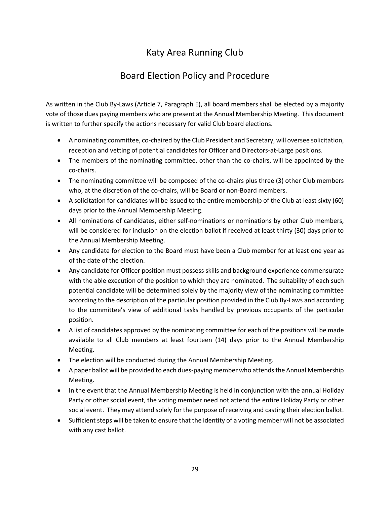## Board Election Policy and Procedure

<span id="page-28-0"></span>As written in the Club By-Laws (Article 7, Paragraph E), all board members shall be elected by a majority vote of those dues paying members who are present at the Annual Membership Meeting. This document is written to further specify the actions necessary for valid Club board elections.

- A nominating committee, co-chaired by the Club President and Secretary, will oversee solicitation, reception and vetting of potential candidates for Officer and Directors-at-Large positions.
- The members of the nominating committee, other than the co-chairs, will be appointed by the co-chairs.
- The nominating committee will be composed of the co-chairs plus three (3) other Club members who, at the discretion of the co-chairs, will be Board or non-Board members.
- A solicitation for candidates will be issued to the entire membership of the Club at least sixty (60) days prior to the Annual Membership Meeting.
- All nominations of candidates, either self-nominations or nominations by other Club members, will be considered for inclusion on the election ballot if received at least thirty (30) days prior to the Annual Membership Meeting.
- Any candidate for election to the Board must have been a Club member for at least one year as of the date of the election.
- Any candidate for Officer position must possess skills and background experience commensurate with the able execution of the position to which they are nominated. The suitability of each such potential candidate will be determined solely by the majority view of the nominating committee according to the description of the particular position provided in the Club By-Laws and according to the committee's view of additional tasks handled by previous occupants of the particular position.
- A list of candidates approved by the nominating committee for each of the positions will be made available to all Club members at least fourteen (14) days prior to the Annual Membership Meeting.
- The election will be conducted during the Annual Membership Meeting.
- A paper ballot will be provided to each dues-paying member who attends the Annual Membership Meeting.
- In the event that the Annual Membership Meeting is held in conjunction with the annual Holiday Party or other social event, the voting member need not attend the entire Holiday Party or other social event. They may attend solely for the purpose of receiving and casting their election ballot.
- Sufficient steps will be taken to ensure that the identity of a voting member will not be associated with any cast ballot.